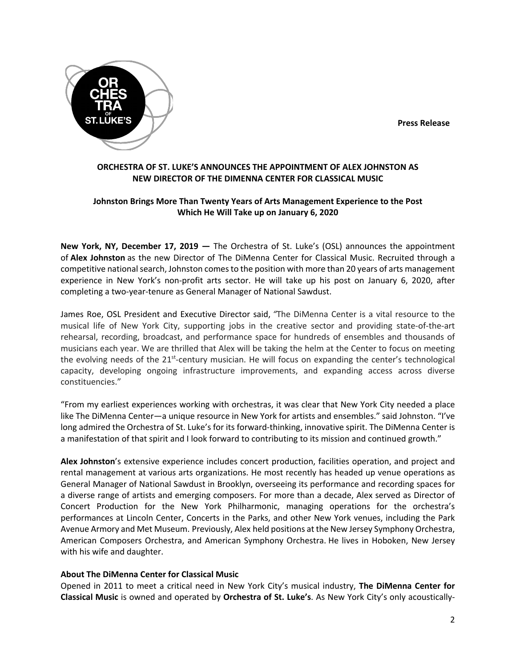**Press Release**



## **ORCHESTRA OF ST. LUKE'S ANNOUNCES THE APPOINTMENT OF ALEX JOHNSTON AS NEW DIRECTOR OF THE DIMENNA CENTER FOR CLASSICAL MUSIC**

# **Johnston Brings More Than Twenty Years of Arts Management Experience to the Post Which He Will Take up on January 6, 2020**

**New York, NY, December 17, 2019 —** The Orchestra of St. Luke's (OSL) announces the appointment of **Alex Johnston** as the new Director of The DiMenna Center for Classical Music. Recruited through a competitive national search, Johnston comes to the position with more than 20 years of arts management experience in New York's non-profit arts sector. He will take up his post on January 6, 2020, after completing a two-year-tenure as General Manager of National Sawdust.

James Roe, OSL President and Executive Director said, *"*The DiMenna Center is a vital resource to the musical life of New York City, supporting jobs in the creative sector and providing state-of-the-art rehearsal, recording, broadcast, and performance space for hundreds of ensembles and thousands of musicians each year. We are thrilled that Alex will be taking the helm at the Center to focus on meeting the evolving needs of the  $21^{st}$ -century musician. He will focus on expanding the center's technological capacity, developing ongoing infrastructure improvements, and expanding access across diverse constituencies."

"From my earliest experiences working with orchestras, it was clear that New York City needed a place like The DiMenna Center—a unique resource in New York for artists and ensembles." said Johnston. "I've long admired the Orchestra of St. Luke's for its forward-thinking, innovative spirit. The DiMenna Center is a manifestation of that spirit and I look forward to contributing to its mission and continued growth."

**Alex Johnston**'s extensive experience includes concert production, facilities operation, and project and rental management at various arts organizations. He most recently has headed up venue operations as General Manager of National Sawdust in Brooklyn, overseeing its performance and recording spaces for a diverse range of artists and emerging composers. For more than a decade, Alex served as Director of Concert Production for the New York Philharmonic, managing operations for the orchestra's performances at Lincoln Center, Concerts in the Parks, and other New York venues, including the Park Avenue Armory and Met Museum. Previously, Alex held positions at the New Jersey Symphony Orchestra, American Composers Orchestra, and American Symphony Orchestra. He lives in Hoboken, New Jersey with his wife and daughter.

## **About The DiMenna Center for Classical Music**

Opened in 2011 to meet a critical need in New York City's musical industry, **The DiMenna Center for Classical Music** is owned and operated by **Orchestra of St. Luke's**. As New York City's only acoustically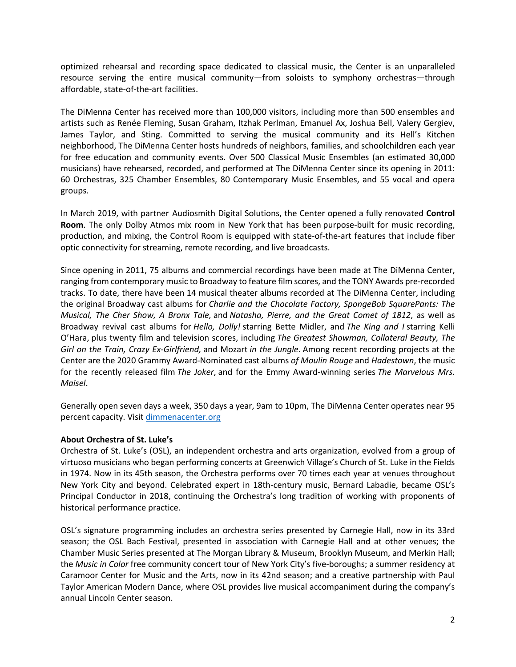optimized rehearsal and recording space dedicated to classical music, the Center is an unparalleled resource serving the entire musical community—from soloists to symphony orchestras—through affordable, state-of-the-art facilities.

The DiMenna Center has received more than 100,000 visitors, including more than 500 ensembles and artists such as Renée Fleming, Susan Graham, Itzhak Perlman, Emanuel Ax, Joshua Bell, Valery Gergiev, James Taylor, and Sting. Committed to serving the musical community and its Hell's Kitchen neighborhood, The DiMenna Center hosts hundreds of neighbors, families, and schoolchildren each year for free education and community events. Over 500 Classical Music Ensembles (an estimated 30,000 musicians) have rehearsed, recorded, and performed at The DiMenna Center since its opening in 2011: 60 Orchestras, 325 Chamber Ensembles, 80 Contemporary Music Ensembles, and 55 vocal and opera groups.

In March 2019, with partner Audiosmith Digital Solutions, the Center opened a fully renovated **Control Room**. The only Dolby Atmos mix room in New York that has been purpose-built for music recording, production, and mixing, the Control Room is equipped with state-of-the-art features that include fiber optic connectivity for streaming, remote recording, and live broadcasts.

Since opening in 2011, 75 albums and commercial recordings have been made at The DiMenna Center, ranging from contemporary music to Broadway to feature film scores, and the TONY Awards pre-recorded tracks. To date, there have been 14 musical theater albums recorded at The DiMenna Center, including the original Broadway cast albums for *Charlie and the Chocolate Factory, SpongeBob SquarePants: The Musical, The Cher Show, A Bronx Tale,* and *Natasha, Pierre, and the Great Comet of 1812*, as well as Broadway revival cast albums for *Hello, Dolly!* starring Bette Midler, and *The King and I* starring Kelli O'Hara, plus twenty film and television scores, including *The Greatest Showman, Collateral Beauty, The Girl on the Train, Crazy Ex-Girlfriend,* and Mozart *in the Jungle*. Among recent recording projects at the Center are the 2020 Grammy Award-Nominated cast albums *of Moulin Rouge* and *Hadestown*, the music for the recently released film *The Joker*, and for the Emmy Award-winning series *The Marvelous Mrs. Maisel*.

Generally open seven days a week, 350 days a year, 9am to 10pm, The DiMenna Center operates near 95 percent capacity. Visit dimmenacenter.org

#### **About Orchestra of St. Luke's**

Orchestra of St. Luke's (OSL), an independent orchestra and arts organization, evolved from a group of virtuoso musicians who began performing concerts at Greenwich Village's Church of St. Luke in the Fields in 1974. Now in its 45th season, the Orchestra performs over 70 times each year at venues throughout New York City and beyond. Celebrated expert in 18th-century music, Bernard Labadie, became OSL's Principal Conductor in 2018, continuing the Orchestra's long tradition of working with proponents of historical performance practice.

OSL's signature programming includes an orchestra series presented by Carnegie Hall, now in its 33rd season; the OSL Bach Festival, presented in association with Carnegie Hall and at other venues; the Chamber Music Series presented at The Morgan Library & Museum, Brooklyn Museum, and Merkin Hall; the *Music in Color* free community concert tour of New York City's five-boroughs; a summer residency at Caramoor Center for Music and the Arts, now in its 42nd season; and a creative partnership with Paul Taylor American Modern Dance, where OSL provides live musical accompaniment during the company's annual Lincoln Center season.